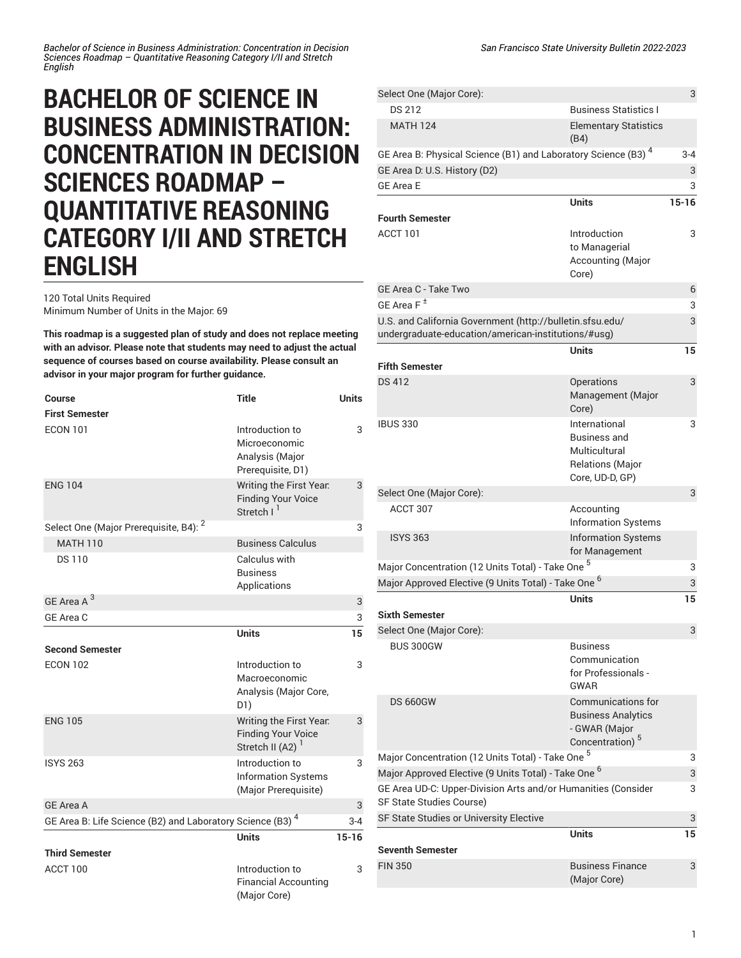## **BACHELOR OF SCIENCE IN BUSINESS ADMINISTRATION: CONCENTRATION IN DECISION SCIENCES ROADMAP – QUANTITATIVE REASONING CATEGORY I/II AND STRETCH ENGLISH**

120 Total Units Required Minimum Number of Units in the Major: 69

**This roadmap is a suggested plan of study and does not replace meeting with an advisor. Please note that students may need to adjust the actual sequence of courses based on course availability. Please consult an advisor in your major program for further guidance.**

| Course                                                        | <b>Title</b>                                                                         | <b>Units</b> |
|---------------------------------------------------------------|--------------------------------------------------------------------------------------|--------------|
| <b>First Semester</b>                                         |                                                                                      |              |
| <b>ECON 101</b>                                               | Introduction to<br>Microeconomic<br>Analysis (Major<br>Prerequisite, D1)             | 3            |
| <b>ENG 104</b>                                                | Writing the First Year.<br><b>Finding Your Voice</b><br>Stretch   <sup>1</sup>       | 3            |
| Select One (Major Prerequisite, B4): <sup>2</sup>             |                                                                                      | 3            |
| <b>MATH 110</b>                                               | <b>Business Calculus</b>                                                             |              |
| <b>DS110</b>                                                  | Calculus with<br><b>Business</b><br>Applications                                     |              |
| GE Area A <sup>3</sup>                                        |                                                                                      | 3            |
| GE Area C                                                     |                                                                                      | 3            |
|                                                               | <b>Units</b>                                                                         | 15           |
| <b>Second Semester</b>                                        |                                                                                      |              |
| <b>ECON 102</b>                                               | Introduction to<br>Macroeconomic<br>Analysis (Major Core,<br>D1)                     | 3            |
| <b>ENG 105</b>                                                | Writing the First Year.<br><b>Finding Your Voice</b><br>Stretch II (A2) <sup>1</sup> | 3            |
| <b>ISYS 263</b>                                               | Introduction to<br><b>Information Systems</b><br>(Major Prerequisite)                | 3            |
| <b>GE Area A</b>                                              |                                                                                      | 3            |
| GE Area B: Life Science (B2) and Laboratory Science (B3) $^4$ |                                                                                      | 3-4          |
|                                                               | <b>Units</b>                                                                         | $15 - 16$    |
| <b>Third Semester</b>                                         |                                                                                      |              |
| ACCT 100                                                      | Introduction to<br><b>Financial Accounting</b><br>(Major Core)                       | 3            |

| Select One (Major Core):                                                                  |                                                                                                        | 3         |
|-------------------------------------------------------------------------------------------|--------------------------------------------------------------------------------------------------------|-----------|
| <b>DS 212</b>                                                                             | <b>Business Statistics I</b>                                                                           |           |
| <b>MATH 124</b>                                                                           | <b>Elementary Statistics</b><br>(B4)                                                                   |           |
| GE Area B: Physical Science (B1) and Laboratory Science (B3) <sup>4</sup>                 |                                                                                                        | $3 - 4$   |
| GE Area D: U.S. History (D2)                                                              |                                                                                                        | 3         |
| <b>GE Area E</b>                                                                          |                                                                                                        | 3         |
|                                                                                           | <b>Units</b>                                                                                           | $15 - 16$ |
| <b>Fourth Semester</b>                                                                    |                                                                                                        |           |
| ACCT 101                                                                                  | Introduction<br>to Managerial<br>Accounting (Major<br>Core)                                            | 3         |
| GE Area C - Take Two                                                                      |                                                                                                        | 6         |
| GE Area $F^{\pm}$                                                                         |                                                                                                        | 3         |
| U.S. and California Government (http://bulletin.sfsu.edu/                                 |                                                                                                        | 3         |
| undergraduate-education/american-institutions/#usg)                                       |                                                                                                        |           |
|                                                                                           | <b>Units</b>                                                                                           | 15        |
| <b>Fifth Semester</b>                                                                     |                                                                                                        |           |
| <b>DS 412</b>                                                                             | Operations<br>Management (Major<br>Core)                                                               | 3         |
| <b>IBUS 330</b>                                                                           | International<br><b>Business and</b><br>Multicultural<br><b>Relations (Major</b><br>Core, UD-D, GP)    | 3         |
| Select One (Major Core):                                                                  |                                                                                                        | 3         |
| ACCT 307                                                                                  | Accounting<br><b>Information Systems</b>                                                               |           |
| <b>ISYS 363</b>                                                                           | <b>Information Systems</b><br>for Management                                                           |           |
| Major Concentration (12 Units Total) - Take One                                           |                                                                                                        | 3         |
| Major Approved Elective (9 Units Total) - Take One <sup>6</sup>                           |                                                                                                        | 3         |
| <b>Sixth Semester</b>                                                                     | Units                                                                                                  | 15        |
| Select One (Major Core):                                                                  |                                                                                                        | 3         |
| <b>BUS 300GW</b>                                                                          | <b>Business</b><br>Communication<br>for Professionals -<br><b>GWAR</b>                                 |           |
| <b>DS 660GW</b>                                                                           | <b>Communications for</b><br><b>Business Analytics</b><br>- GWAR (Major<br>Concentration) <sup>5</sup> |           |
| Major Concentration (12 Units Total) - Take One <sup>5</sup>                              |                                                                                                        | 3         |
| Major Approved Elective (9 Units Total) - Take One <sup>6</sup>                           |                                                                                                        | 3         |
| GE Area UD-C: Upper-Division Arts and/or Humanities (Consider<br>SF State Studies Course) |                                                                                                        | 3         |
| SF State Studies or University Elective                                                   |                                                                                                        | 3         |
| <b>Seventh Semester</b>                                                                   | Units                                                                                                  | 15        |
| <b>FIN 350</b>                                                                            | <b>Business Finance</b><br>(Major Core)                                                                | 3         |